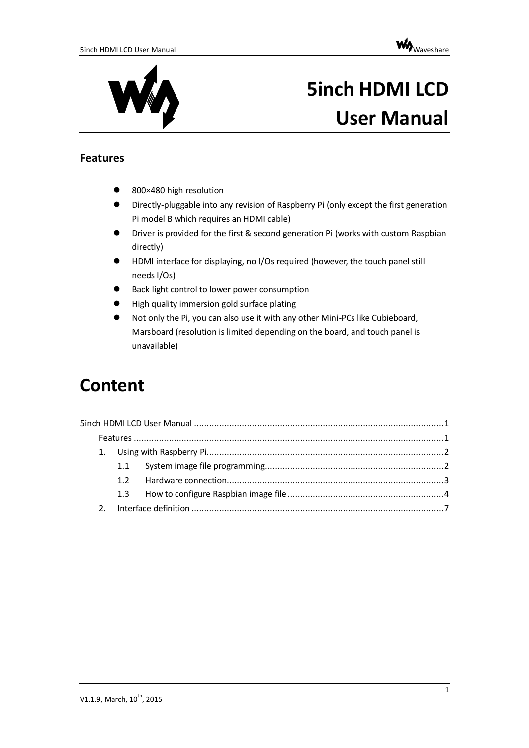



# <span id="page-0-0"></span>**5inch HDMI LCD User Manual**

#### <span id="page-0-1"></span>**Features**

- 800×480 high resolution
- Directly-pluggable into any revision of Raspberry Pi (only except the first generation Pi model B which requires an HDMI cable)
- Driver is provided for the first & second generation Pi (works with custom Raspbian directly)
- HDMI interface for displaying, no I/Os required (however, the touch panel still needs I/Os)
- Back light control to lower power consumption
- High quality immersion gold surface plating
- Not only the Pi, you can also use it with any other Mini-PCs like Cubieboard, Marsboard (resolution is limited depending on the board, and touch panel is unavailable)

## **Content**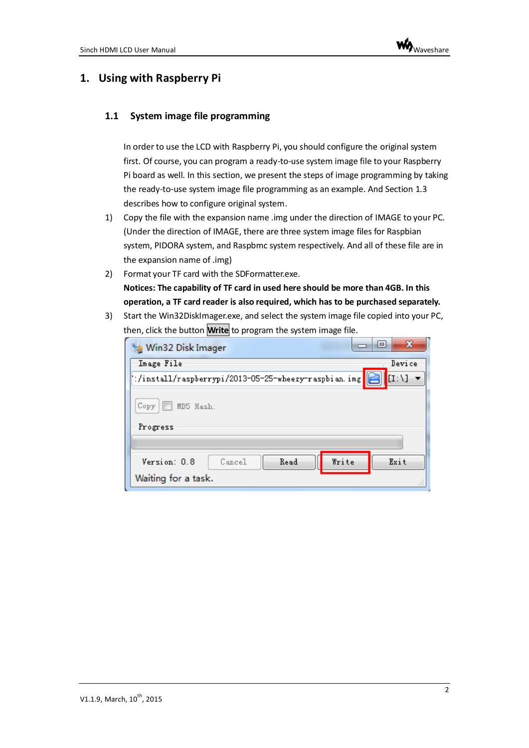### <span id="page-1-0"></span>**1. Using with Raspberry Pi**

#### <span id="page-1-1"></span>**1.1 System image file programming**

In order to use the LCD with Raspberry Pi, you should configure the original system first. Of course, you can program a ready-to-use system image file to your Raspberry Pi board as well. In this section, we present the steps of image programming by taking the ready-to-use system image file programming as an example. And Sectio[n 1.3](#page-3-0) describes how to configure original system.

- 1) Copy the file with the expansion name .img under the direction of IMAGE to your PC. (Under the direction of IMAGE, there are three system image files for Raspbian system, PIDORA system, and Raspbmc system respectively. And all of these file are in the expansion name of .img)
- 2) Format your TF card with the SDFormatter.exe. **Notices: The capability of TF card in used here should be more than 4GB. In this operation, a TF card reader is also required, which has to be purchased separately.**
- 3) Start the Win32DiskImager.exe, and select the system image file copied into your PC, then, click the button **Write** to program the system image file.

| Win32 Disk Imager                                              | $\mathbf{x}$<br>$\blacksquare$ |  |  |  |  |  |
|----------------------------------------------------------------|--------------------------------|--|--|--|--|--|
| Image File                                                     | Device                         |  |  |  |  |  |
| [1:1]<br>/:/install/raspberrypi/2013-05-25-wheezy-raspbian.img |                                |  |  |  |  |  |
| Сору<br>MD5 Hash:<br>Progress                                  |                                |  |  |  |  |  |
|                                                                |                                |  |  |  |  |  |
| Write<br>Read<br>Version: 0.8<br>Cancel<br>Waiting for a task. | Exit<br>лÍ                     |  |  |  |  |  |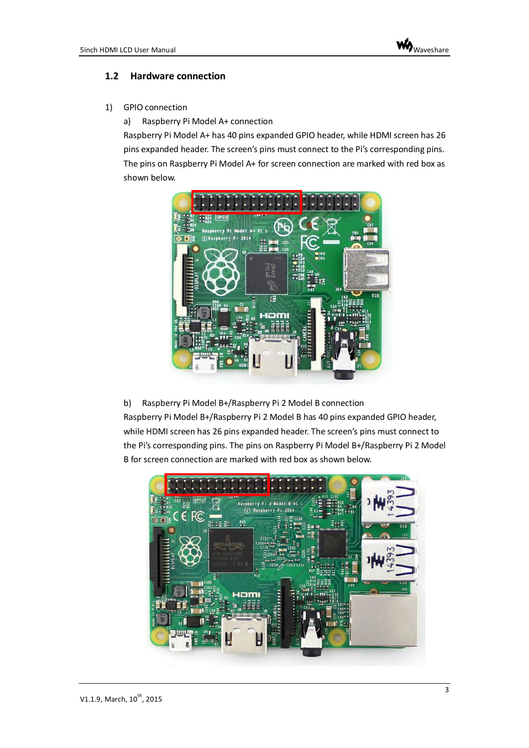#### <span id="page-2-0"></span>**1.2 Hardware connection**

1) GPIO connection

a) Raspberry Pi Model A+ connection

Raspberry Pi Model A+ has 40 pins expanded GPIO header, while HDMI screen has 26 pins expanded header. The screen's pins must connect to the Pi's corresponding pins. The pins on Raspberry Pi Model A+ for screen connection are marked with red box as shown below.



b) Raspberry Pi Model B+/Raspberry Pi 2 Model B connection

Raspberry Pi Model B+/Raspberry Pi 2 Model B has 40 pins expanded GPIO header, while HDMI screen has 26 pins expanded header. The screen's pins must connect to the Pi's corresponding pins. The pins on Raspberry Pi Model B+/Raspberry Pi 2 Model B for screen connection are marked with red box as shown below.

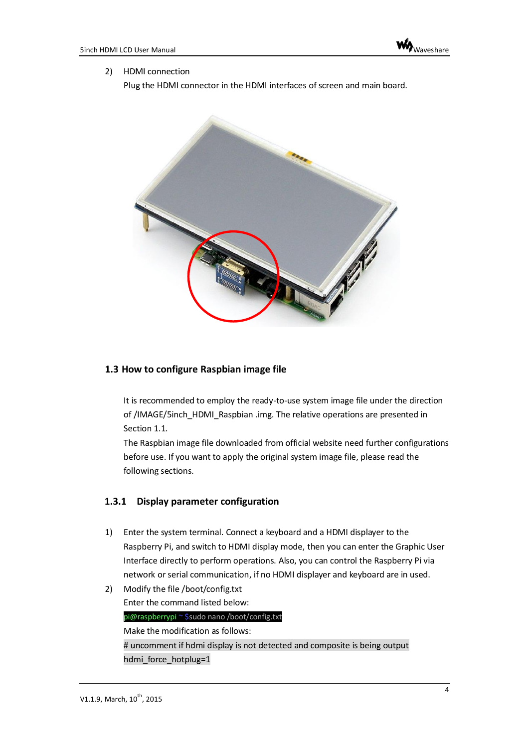#### 2) HDMI connection

Plug the HDMI connector in the HDMI interfaces of screen and main board.



#### <span id="page-3-0"></span>**1.3 How to configure Raspbian image file**

It is recommended to employ the ready-to-use system image file under the direction of /IMAGE/5inch\_HDMI\_Raspbian .img. The relative operations are presented in Section [1.1.](#page-1-1)

The Raspbian image file downloaded from official website need further configurations before use. If you want to apply the original system image file, please read the following sections.

#### **1.3.1 Display parameter configuration**

1) Enter the system terminal. Connect a keyboard and a HDMI displayer to the Raspberry Pi, and switch to HDMI display mode, then you can enter the Graphic User Interface directly to perform operations. Also, you can control the Raspberry Pi via network or serial communication, if no HDMI displayer and keyboard are in used.

```
2) Modify the file /boot/config.txt
    Enter the command listed below:
    pi@raspberrypi ~ $sudo nano /boot/config.txt
    Make the modification as follows:
    # uncomment if hdmi display is not detected and composite is being output
    hdmi force hotplug=1
```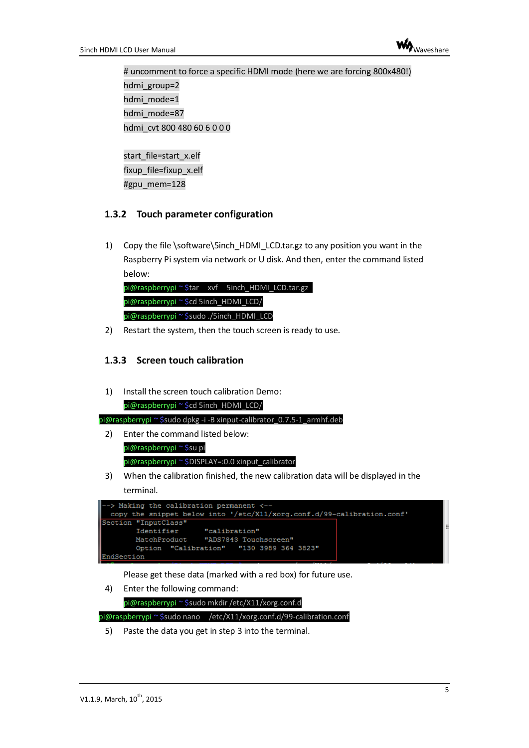

# uncomment to force a specific HDMI mode (here we are forcing 800x480!) hdmi\_group=2 hdmi mode=1 hdmi mode=87 hdmi\_cvt 800 480 60 6 0 0 0

start\_file=start\_x.elf fixup\_file=fixup\_x.elf #gpu mem=128

#### **1.3.2 Touch parameter configuration**

1) Copy the file \software\5inch\_HDMI\_LCD.tar.gz to any position you want in the Raspberry Pi system via network or U disk. And then, enter the command listed below:

|                                          | pi@raspberrypi~\$tar xvf 5inch_HDMI_LCD.tar.gz |
|------------------------------------------|------------------------------------------------|
| pi@raspberrypi ~ \$cd 5inch_HDMI_LCD/    |                                                |
| pi@raspberrypi ~ \$sudo ./5inch_HDMI_LCD |                                                |

2) Restart the system, then the touch screen is ready to use.

#### **1.3.3 Screen touch calibration**

1) Install the screen touch calibration Demo: pi@raspberrypi ~ \$cd 5inch\_HDMI\_LCD/

pi@raspberrypi ~ \$sudo dpkg -i -B xinput-calibrator\_0.7.5-1\_armhf.deb

- 2) Enter the command listed below: pi@raspberrypi ~ \$su pi pi@raspberrypi ~ \$DISPLAY=:0.0 xinput\_calibrator
- 3) When the calibration finished, the new calibration data will be displayed in the terminal.



Please get these data (marked with a red box) for future use.

4) Enter the following command:

```
pi@raspberrypi ~ $sudo mkdir /etc/X11/xorg.conf.d
pi@raspberrypi ~ $sudo nano /etc/X11/xorg.conf.d/99-calibration.conf
```
5) Paste the data you get in step 3 into the terminal.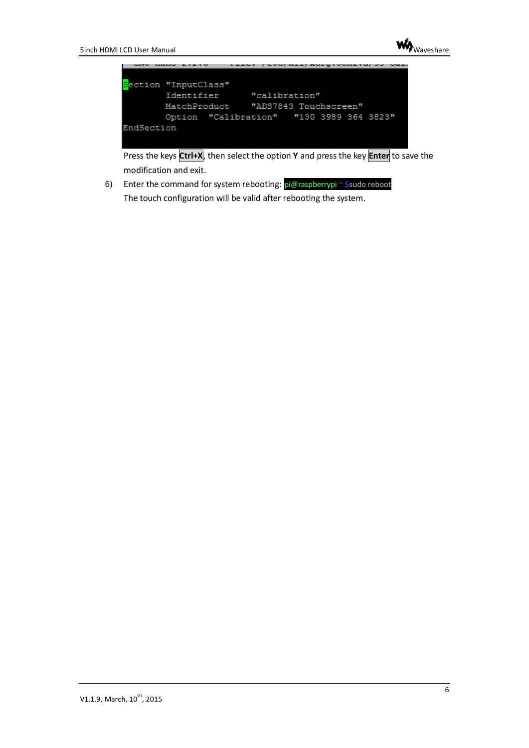



Press the keys **Ctrl+X**, then select the option **Y** and press the key **Enter** to save the modification and exit.

6) Enter the command for system rebooting: pi@raspberrypi~\$sudo reboot The touch configuration will be valid after rebooting the system.